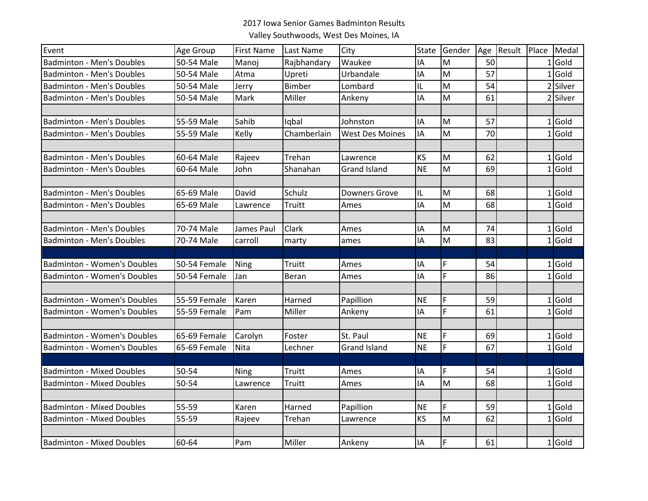## 2017 Iowa Senior Games Badminton Results

Valley Southwoods, West Des Moines, IA

| Event                              | Age Group    | <b>First Name</b> | Last Name     | City                   | <b>State</b> | Gender | Age | Result | Place | Medal    |
|------------------------------------|--------------|-------------------|---------------|------------------------|--------------|--------|-----|--------|-------|----------|
| <b>Badminton - Men's Doubles</b>   | 50-54 Male   | Manoj             | Rajbhandary   | Waukee                 | I٨           | M      | 50  |        |       | $1$ Gold |
| <b>Badminton - Men's Doubles</b>   | 50-54 Male   | Atma              | Upreti        | Urbandale              | IA           | M      | 57  |        | 1     | LGold    |
| <b>Badminton - Men's Doubles</b>   | 50-54 Male   | Jerry             | Bimber        | Lombard                | IL.          | M      | 54  |        |       | 2 Silver |
| <b>Badminton - Men's Doubles</b>   | 50-54 Male   | Mark              | Miller        | Ankeny                 | IA           | M      | 61  |        |       | 2 Silver |
|                                    |              |                   |               |                        |              |        |     |        |       |          |
| <b>Badminton - Men's Doubles</b>   | 55-59 Male   | Sahib             | Iqbal         | Johnston               | IA           | M      | 57  |        |       | $1$ Gold |
| <b>Badminton - Men's Doubles</b>   | 55-59 Male   | Kelly             | Chamberlain   | <b>West Des Moines</b> | IA           | M      | 70  |        |       | $1$ Gold |
|                                    |              |                   |               |                        |              |        |     |        |       |          |
| <b>Badminton - Men's Doubles</b>   | 60-64 Male   | Rajeev            | Trehan        | Lawrence               | <b>KS</b>    | M      | 62  |        |       | $1$ Gold |
| <b>Badminton - Men's Doubles</b>   | 60-64 Male   | John              | Shanahan      | <b>Grand Island</b>    | <b>NE</b>    | M      | 69  |        |       | $1$ Gold |
|                                    |              |                   |               |                        |              |        |     |        |       |          |
| <b>Badminton - Men's Doubles</b>   | 65-69 Male   | David             | Schulz        | <b>Downers Grove</b>   | IL           | M      | 68  |        |       | $1$ Gold |
| <b>Badminton - Men's Doubles</b>   | 65-69 Male   | Lawrence          | Truitt        | Ames                   | IΑ           | M      | 68  |        |       | $1$ Gold |
|                                    |              |                   |               |                        |              |        |     |        |       |          |
| <b>Badminton - Men's Doubles</b>   | 70-74 Male   | James Paul        | Clark         | Ames                   | IA           | M      | 74  |        |       | $1$ Gold |
| <b>Badminton - Men's Doubles</b>   | 70-74 Male   | carroll           | marty         | ames                   | IA           | M      | 83  |        |       | $1$ Gold |
|                                    |              |                   |               |                        |              |        |     |        |       |          |
| <b>Badminton - Women's Doubles</b> | 50-54 Female | Ning              | <b>Truitt</b> | Ames                   | ΙA           | F      | 54  |        |       | $1$ Gold |
| <b>Badminton - Women's Doubles</b> | 50-54 Female | Jan               | Beran         | Ames                   | I٨           | Ë      | 86  |        |       | $1$ Gold |
|                                    |              |                   |               |                        |              |        |     |        |       |          |
| <b>Badminton - Women's Doubles</b> | 55-59 Female | Karen             | Harned        | Papillion              | <b>NE</b>    | F      | 59  |        |       | $1$ Gold |
| <b>Badminton - Women's Doubles</b> | 55-59 Female | Pam               | Miller        | Ankeny                 | IA           | F      | 61  |        |       | $1$ Gold |
|                                    |              |                   |               |                        |              |        |     |        |       |          |
| <b>Badminton - Women's Doubles</b> | 65-69 Female | Carolyn           | Foster        | St. Paul               | <b>NE</b>    | F      | 69  |        |       | $1$ Gold |
| <b>Badminton - Women's Doubles</b> | 65-69 Female | Nita              | Lechner       | <b>Grand Island</b>    | <b>NE</b>    | F      | 67  |        |       | $1$ Gold |
|                                    |              |                   |               |                        |              |        |     |        |       |          |
| <b>Badminton - Mixed Doubles</b>   | 50-54        | Ning              | Truitt        | Ames                   | ΙA           | F      | 54  |        |       | $1$ Gold |
| <b>Badminton - Mixed Doubles</b>   | 50-54        | Lawrence          | Truitt        | Ames                   | IΑ           | M      | 68  |        |       | $1$ Gold |
|                                    |              |                   |               |                        |              |        |     |        |       |          |
| <b>Badminton - Mixed Doubles</b>   | 55-59        | Karen             | Harned        | Papillion              | <b>NE</b>    | F      | 59  |        |       | $1$ Gold |
| <b>Badminton - Mixed Doubles</b>   | 55-59        | Rajeev            | Trehan        | Lawrence               | <b>KS</b>    | M      | 62  |        |       | $1$ Gold |
|                                    |              |                   |               |                        |              |        |     |        |       |          |
| <b>Badminton - Mixed Doubles</b>   | 60-64        | Pam               | Miller        | Ankeny                 | IA           | F      | 61  |        |       | $1$ Gold |